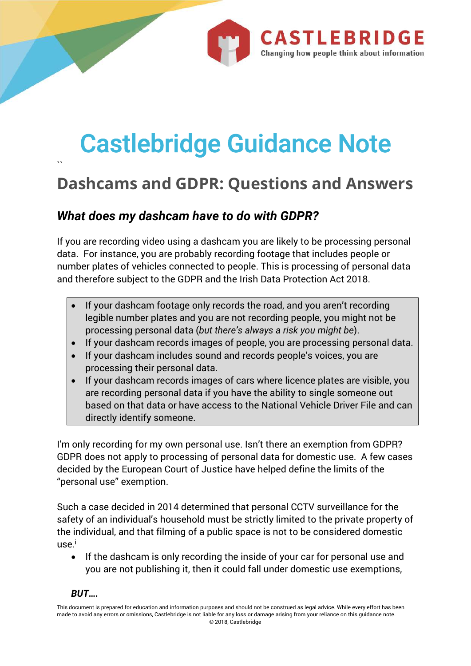

# Castlebridge Guidance Note

## **Dashcams and GDPR: Questions and Answers**

#### *What does my dashcam have to do with GDPR?*

If you are recording video using a dashcam you are likely to be processing personal data. For instance, you are probably recording footage that includes people or number plates of vehicles connected to people. This is processing of personal data and therefore subject to the GDPR and the Irish Data Protection Act 2018.

- If your dashcam footage only records the road, and you aren't recording legible number plates and you are not recording people, you might not be processing personal data (*but there's always a risk you might be*).
- If your dashcam records images of people, you are processing personal data.
- If your dashcam includes sound and records people's voices, you are processing their personal data.
- If your dashcam records images of cars where licence plates are visible, you are recording personal data if you have the ability to single someone out based on that data or have access to the National Vehicle Driver File and can directly identify someone.

I'm only recording for my own personal use. Isn't there an exemption from GDPR? GDPR does not apply to processing of personal data for domestic use. A few cases decided by the European Court of Justice have helped define the limits of the "personal use" exemption.

Such a case decided in 2014 determined that personal CCTV surveillance for the safety of an individual's household must be strictly limited to the private property of the individual, and that filming of a public space is not to be considered domestic use.<sup>i</sup>

• If the dashcam is only recording the inside of your car for personal use and you are not publishing it, then it could fall under domestic use exemptions,

#### *BUT….*

 $\ddot{ }$ 

This document is prepared for education and information purposes and should not be construed as legal advice. While every effort has been made to avoid any errors or omissions, Castlebridge is not liable for any loss or damage arising from your reliance on this guidance note. © 2018, Castlebridge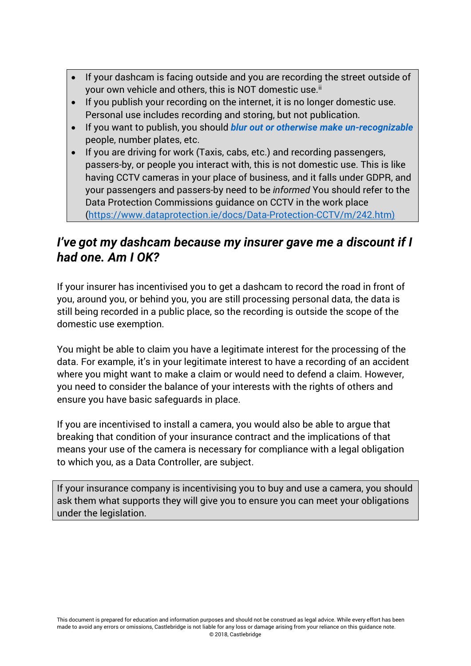- If your dashcam is facing outside and you are recording the street outside of your own vehicle and others, this is NOT domestic use.<sup>ii</sup>
- If you publish your recording on the internet, it is no longer domestic use. Personal use includes recording and storing, but not publication.
- If you want to publish, you should *blur out or otherwise make un-recognizable* people, number plates, etc.
- If you are driving for work (Taxis, cabs, etc.) and recording passengers, passers-by, or people you interact with, this is not domestic use. This is like having CCTV cameras in your place of business, and it falls under GDPR, and your passengers and passers-by need to be *informed* You should refer to the Data Protection Commissions guidance on CCTV in the work place (https://www.dataprotection.ie/docs/Data-Protection-CCTV/m/242.htm)

#### *I've got my dashcam because my insurer gave me a discount if I had one. Am I OK?*

If your insurer has incentivised you to get a dashcam to record the road in front of you, around you, or behind you, you are still processing personal data, the data is still being recorded in a public place, so the recording is outside the scope of the domestic use exemption.

You might be able to claim you have a legitimate interest for the processing of the data. For example, it's in your legitimate interest to have a recording of an accident where you might want to make a claim or would need to defend a claim. However, you need to consider the balance of your interests with the rights of others and ensure you have basic safeguards in place.

If you are incentivised to install a camera, you would also be able to argue that breaking that condition of your insurance contract and the implications of that means your use of the camera is necessary for compliance with a legal obligation to which you, as a Data Controller, are subject.

If your insurance company is incentivising you to buy and use a camera, you should ask them what supports they will give you to ensure you can meet your obligations under the legislation.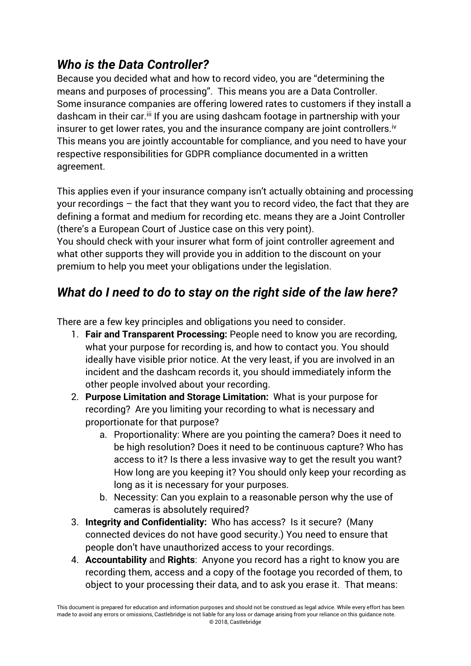### *Who is the Data Controller?*

Because you decided what and how to record video, you are "determining the means and purposes of processing". This means you are a Data Controller. Some insurance companies are offering lowered rates to customers if they install a dashcam in their car.<sup>iii</sup> If you are using dashcam footage in partnership with your insurer to get lower rates, you and the insurance company are joint controllers.<sup>iv</sup> This means you are jointly accountable for compliance, and you need to have your respective responsibilities for GDPR compliance documented in a written agreement.

This applies even if your insurance company isn't actually obtaining and processing your recordings – the fact that they want you to record video, the fact that they are defining a format and medium for recording etc. means they are a Joint Controller (there's a European Court of Justice case on this very point).

You should check with your insurer what form of joint controller agreement and what other supports they will provide you in addition to the discount on your premium to help you meet your obligations under the legislation.

### *What do I need to do to stay on the right side of the law here?*

There are a few key principles and obligations you need to consider.

- 1. **Fair and Transparent Processing:** People need to know you are recording, what your purpose for recording is, and how to contact you. You should ideally have visible prior notice. At the very least, if you are involved in an incident and the dashcam records it, you should immediately inform the other people involved about your recording.
- 2. **Purpose Limitation and Storage Limitation:** What is your purpose for recording? Are you limiting your recording to what is necessary and proportionate for that purpose?
	- a. Proportionality: Where are you pointing the camera? Does it need to be high resolution? Does it need to be continuous capture? Who has access to it? Is there a less invasive way to get the result you want? How long are you keeping it? You should only keep your recording as long as it is necessary for your purposes.
	- b. Necessity: Can you explain to a reasonable person why the use of cameras is absolutely required?
- 3. **Integrity and Confidentiality:** Who has access? Is it secure? (Many connected devices do not have good security.) You need to ensure that people don't have unauthorized access to your recordings.
- 4. **Accountability** and **Rights**: Anyone you record has a right to know you are recording them, access and a copy of the footage you recorded of them, to object to your processing their data, and to ask you erase it. That means: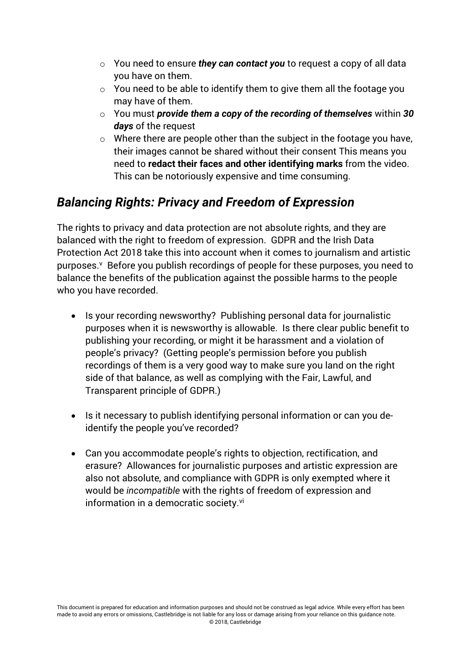- o You need to ensure *they can contact you* to request a copy of all data you have on them.
- $\circ$  You need to be able to identify them to give them all the footage you may have of them.
- o You must *provide them a copy of the recording of themselves* within *30 days* of the request
- o Where there are people other than the subject in the footage you have, their images cannot be shared without their consent This means you need to **redact their faces and other identifying marks** from the video. This can be notoriously expensive and time consuming.

#### *Balancing Rights: Privacy and Freedom of Expression*

The rights to privacy and data protection are not absolute rights, and they are balanced with the right to freedom of expression. GDPR and the Irish Data Protection Act 2018 take this into account when it comes to journalism and artistic purposes.<sup>v</sup> Before you publish recordings of people for these purposes, you need to balance the benefits of the publication against the possible harms to the people who you have recorded.

- Is your recording newsworthy? Publishing personal data for journalistic purposes when it is newsworthy is allowable. Is there clear public benefit to publishing your recording, or might it be harassment and a violation of people's privacy? (Getting people's permission before you publish recordings of them is a very good way to make sure you land on the right side of that balance, as well as complying with the Fair, Lawful, and Transparent principle of GDPR.)
- Is it necessary to publish identifying personal information or can you deidentify the people you've recorded?
- Can you accommodate people's rights to objection, rectification, and erasure? Allowances for journalistic purposes and artistic expression are also not absolute, and compliance with GDPR is only exempted where it would be *incompatible* with the rights of freedom of expression and information in a democratic society.<sup>vi</sup>